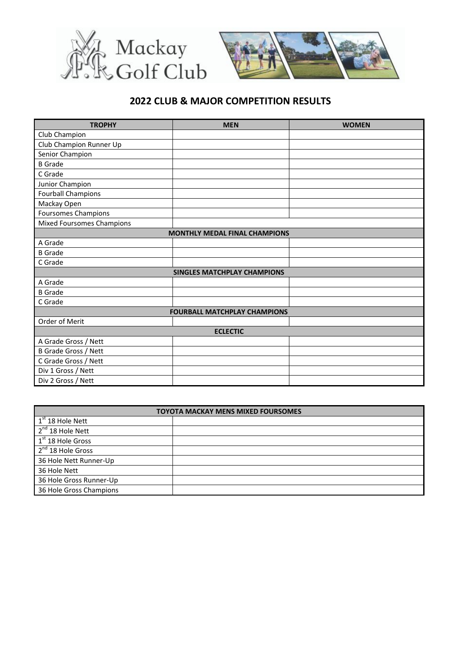



## **2022 CLUB & MAJOR COMPETITION RESULTS**

| <b>TROPHY</b>                        | <b>MEN</b>                         | <b>WOMEN</b> |  |
|--------------------------------------|------------------------------------|--------------|--|
| Club Champion                        |                                    |              |  |
| Club Champion Runner Up              |                                    |              |  |
| Senior Champion                      |                                    |              |  |
| <b>B</b> Grade                       |                                    |              |  |
| C Grade                              |                                    |              |  |
| Junior Champion                      |                                    |              |  |
| <b>Fourball Champions</b>            |                                    |              |  |
| Mackay Open                          |                                    |              |  |
| <b>Foursomes Champions</b>           |                                    |              |  |
| <b>Mixed Foursomes Champions</b>     |                                    |              |  |
| <b>MONTHLY MEDAL FINAL CHAMPIONS</b> |                                    |              |  |
| A Grade                              |                                    |              |  |
| <b>B</b> Grade                       |                                    |              |  |
| C Grade                              |                                    |              |  |
|                                      | <b>SINGLES MATCHPLAY CHAMPIONS</b> |              |  |
| A Grade                              |                                    |              |  |
| <b>B</b> Grade                       |                                    |              |  |
| C Grade                              |                                    |              |  |
| <b>FOURBALL MATCHPLAY CHAMPIONS</b>  |                                    |              |  |
| Order of Merit                       |                                    |              |  |
| <b>ECLECTIC</b>                      |                                    |              |  |
| A Grade Gross / Nett                 |                                    |              |  |
| <b>B Grade Gross / Nett</b>          |                                    |              |  |
| C Grade Gross / Nett                 |                                    |              |  |
| Div 1 Gross / Nett                   |                                    |              |  |
| Div 2 Gross / Nett                   |                                    |              |  |

| <b>TOYOTA MACKAY MENS MIXED FOURSOMES</b> |  |  |
|-------------------------------------------|--|--|
| $1st 18$ Hole Nett                        |  |  |
| $2^{nd}$ 18 Hole Nett                     |  |  |
| $1st$ 18 Hole Gross                       |  |  |
| $2nd$ 18 Hole Gross                       |  |  |
| 36 Hole Nett Runner-Up                    |  |  |
| 36 Hole Nett                              |  |  |
| 36 Hole Gross Runner-Up                   |  |  |
| 36 Hole Gross Champions                   |  |  |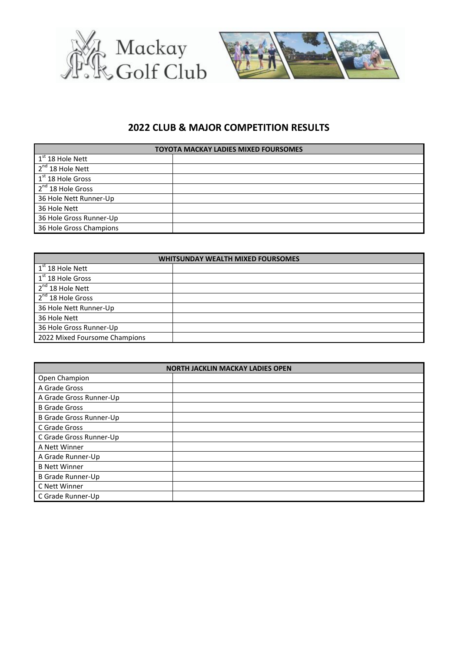



## **2022 CLUB & MAJOR COMPETITION RESULTS**

| <b>TOYOTA MACKAY LADIES MIXED FOURSOMES</b> |  |  |
|---------------------------------------------|--|--|
| $1^{\text{st}}$ 18 Hole Nett                |  |  |
| 2 <sup>nd</sup> 18 Hole Nett                |  |  |
| $1st 18$ Hole Gross                         |  |  |
| $2nd$ 18 Hole Gross                         |  |  |
| 36 Hole Nett Runner-Up                      |  |  |
| 36 Hole Nett                                |  |  |
| 36 Hole Gross Runner-Up                     |  |  |
| 36 Hole Gross Champions                     |  |  |

| <b>WHITSUNDAY WEALTH MIXED FOURSOMES</b> |  |  |
|------------------------------------------|--|--|
| $\sqrt{1^{st} 18}$ Hole Nett             |  |  |
| $1st$ 18 Hole Gross                      |  |  |
| 2 <sup>nd</sup> 18 Hole Nett             |  |  |
| 2 <sup>nd</sup> 18 Hole Gross            |  |  |
| 36 Hole Nett Runner-Up                   |  |  |
| 36 Hole Nett                             |  |  |
| 36 Hole Gross Runner-Up                  |  |  |
| 2022 Mixed Foursome Champions            |  |  |

| <b>NORTH JACKLIN MACKAY LADIES OPEN</b> |  |  |
|-----------------------------------------|--|--|
| Open Champion                           |  |  |
| A Grade Gross                           |  |  |
| A Grade Gross Runner-Up                 |  |  |
| <b>B</b> Grade Gross                    |  |  |
| <b>B Grade Gross Runner-Up</b>          |  |  |
| C Grade Gross                           |  |  |
| C Grade Gross Runner-Up                 |  |  |
| A Nett Winner                           |  |  |
| A Grade Runner-Up                       |  |  |
| <b>B Nett Winner</b>                    |  |  |
| <b>B Grade Runner-Up</b>                |  |  |
| C Nett Winner                           |  |  |
| C Grade Runner-Up                       |  |  |